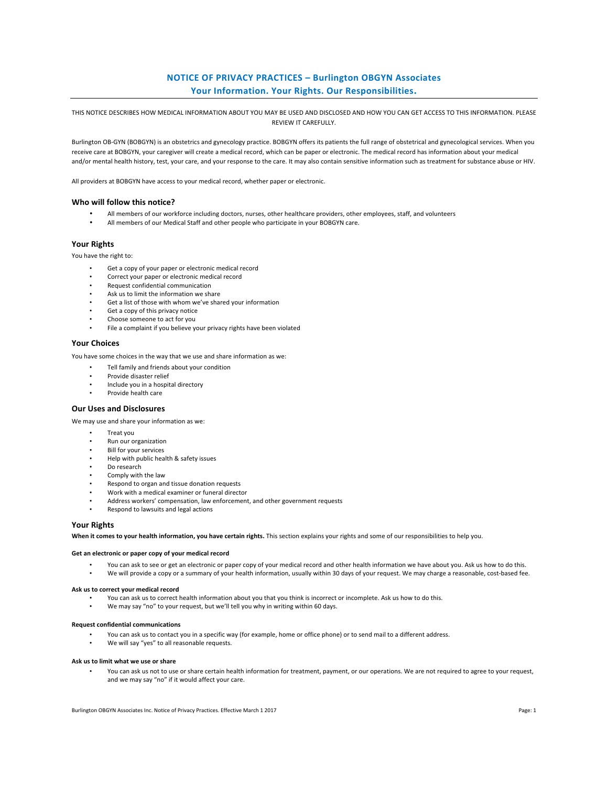# **NOTICE OF PRIVACY PRACTICES - Burlington OBGYN Associates** Your Information. Your Rights. Our Responsibilities.

THIS NOTICE DESCRIBES HOW MEDICAL INFORMATION ABOUT YOU MAY BE USED AND DISCLOSED AND HOW YOU CAN GET ACCESS TO THIS INFORMATION. PLEASE REVIEW IT CAREFULLY.

Burlington OB-GYN (BOBGYN) is an obstetrics and gynecology practice. BOBGYN offers its patients the full range of obstetrical and gynecological services. When you receive care at BOBGYN, your caregiver will create a medical record, which can be paper or electronic. The medical record has information about your medical and/or mental health history, test, your care, and your response to the care. It may also contain sensitive information such as treatment for substance abuse or HIV.

All providers at BOBGYN have access to your medical record, whether paper or electronic.

### Who will follow this notice?

- All members of our workforce including doctors, nurses, other healthcare providers, other employees, staff, and volunteers
- All members of our Medical Staff and other people who participate in your BOBGYN care.

## **Your Rights**

You have the right to:

- Get a copy of your paper or electronic medical record
- Correct your paper or electronic medical record
- Request confidential communication
- Ask us to limit the information we share
- Get a list of those with whom we've shared your information
- Get a copy of this privacy notice
- Choose someone to act for you
	- File a complaint if you believe your privacy rights have been violated

## **Your Choices**

You have some choices in the way that we use and share information as we:

Tell family and friends about your condition

- Provide disaster relief
- Include you in a hospital directory
- Provide health care

## **Our Uses and Disclosures**

We may use and share your information as we:

- Treat vou
- Run our organization
- Bill for your services
- Help with public health & safety issues
- Do research
- Comply with the law
- Respond to organ and tissue donation requests
- Work with a medical examiner or funeral director
- Address workers' compensation, law enforcement, and other government requests
- Respond to lawsuits and legal actions

### **Your Rights**

When it comes to your health information, you have certain rights. This section explains your rights and some of our responsibilities to help you.

#### Get an electronic or paper copy of your medical record

You can ask to see or get an electronic or paper copy of your medical record and other health information we have about you. Ask us how to do this. We will provide a copy or a summary of your health information, usually within 30 days of your request. We may charge a reasonable, cost-based fee.

#### Ask us to correct your medical record

- You can ask us to correct health information about you that you think is incorrect or incomplete. Ask us how to do this.
- We may say "no" to your request, but we'll tell you why in writing within 60 days.

#### **Request confidential communications**

- You can ask us to contact you in a specific way (for example, home or office phone) or to send mail to a different address.
- We will say "yes" to all reasonable requests.

#### Ask us to limit what we use or share

You can ask us not to use or share certain health information for treatment, payment, or our operations. We are not required to agree to your request, and we may say "no" if it would affect your care.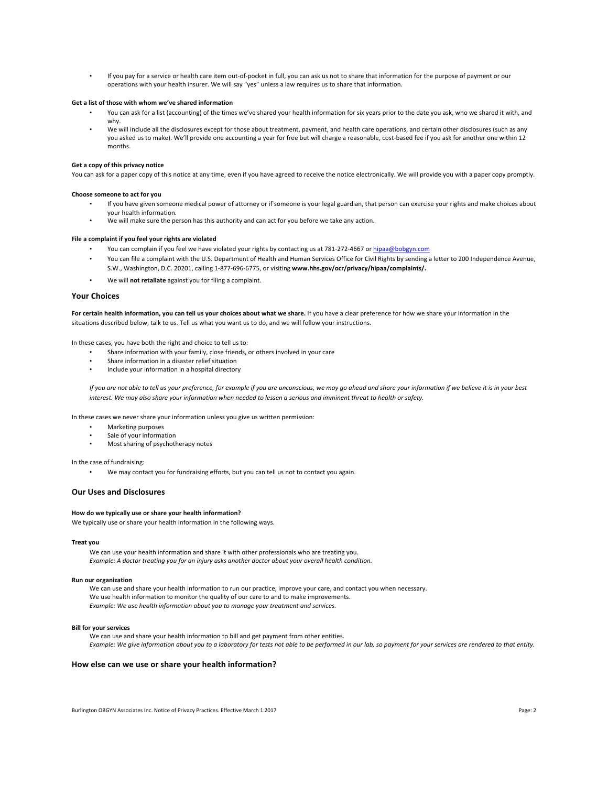• If you pay for a service or health care item out-of-pocket in full, you can ask us not to share that information for the purpose of payment or our operations with your health insurer. We will say "yes" unless a law requires us to share that information.

### Get a list of those with whom we've shared information

- You can ask for a list (accounting) of the times we've shared your health information for six years prior to the date you ask, who we shared it with, and why.
- We will include all the disclosures except for those about treatment, payment, and health care operations, and certain other disclosures (such as any you asked us to make). We'll provide one accounting a year for free but will charge a reasonable, cost-based fee if you ask for another one within 12 months.

#### Get a copy of this privacy notice

You can ask for a paper copy of this notice at any time, even if you have agreed to receive the notice electronically. We will provide you with a paper copy promptly.

#### **Choose someone to act for you**

- If you have given someone medical power of attorney or if someone is your legal guardian, that person can exercise your rights and make choices about your health information.
- We will make sure the person has this authority and can act for you before we take any action.

### File a complaint if you feel your rights are violated

- You can complain if you feel we have violated your rights by contacting us at 781-272-4667 or hipaa@bobgyn.com
- You can file a complaint with the U.S. Department of Health and Human Services Office for Civil Rights by sending a letter to 200 Independence Avenue, S.W., Washington, D.C. 20201, calling 1-877-696-6775, or visiting www.hhs.gov/ocr/privacy/hipaa/complaints/.
- We will not retaliate against you for filing a complaint.

#### **Your Choices**

For certain health information, you can tell us your choices about what we share. If you have a clear preference for how we share your information in the situations described below, talk to us. Tell us what you want us to do, and we will follow your instructions.

In these cases, you have both the right and choice to tell us to:

- Share information with your family, close friends, or others involved in your care
- Share information in a disaster relief situation
- Include your information in a hospital directory

If you are not able to tell us your preference, for example if you are unconscious, we may go ahead and share your information if we believe it is in your best *interest.* We may also share your information when needed to lessen a serious and imminent threat to health or safety.

In these cases we never share your information unless you give us written permission:

- Marketing purposes
- Sale of your information
- Most sharing of psychotherapy notes

In the case of fundraising:

We may contact you for fundraising efforts, but you can tell us not to contact you again.

## **Our Uses and Disclosures**

#### How do we typically use or share your health information?

We typically use or share your health information in the following ways.

#### **Treat you**

We can use your health information and share it with other professionals who are treating you. *Example:* A doctor treating you for an injury asks another doctor about your overall health condition.

#### **Run our organization**

We can use and share your health information to run our practice, improve your care, and contact you when necessary. We use health information to monitor the quality of our care to and to make improvements. *Example:* We use health information about you to manage your treatment and services.

#### **Bill for your services**

We can use and share your health information to bill and get payment from other entities. Example: We give information about you to a laboratory for tests not able to be performed in our lab, so payment for your services are rendered to that entity.

### How else can we use or share your health information?